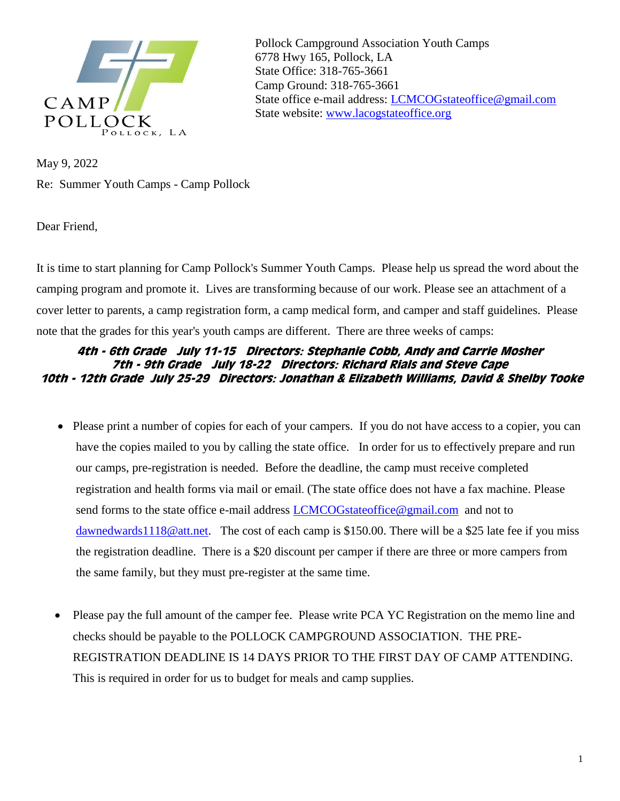

Pollock Campground Association Youth Camps 6778 Hwy 165, Pollock, LA State Office: 318-765-3661 Camp Ground: 318-765-3661 State office e-mail address: [LCMCOGstateoffice@gmail.com](mailto:LCMCOGstateoffice@gmail.com) State website: [www.lacogstateoffice.org](http://www.lacogstateoffice.org/)

May 9, 2022 Re: Summer Youth Camps - Camp Pollock

Dear Friend,

It is time to start planning for Camp Pollock's Summer Youth Camps. Please help us spread the word about the camping program and promote it. Lives are transforming because of our work. Please see an attachment of a cover letter to parents, a camp registration form, a camp medical form, and camper and staff guidelines. Please note that the grades for this year's youth camps are different. There are three weeks of camps:

## **4th - 6th Grade July 11-15 Directors: Stephanie Cobb, Andy and Carrie Mosher 7th - 9th Grade July 18-22 Directors: Richard Rials and Steve Cape 10th - 12th Grade July 25-29 Directors: Jonathan & Elizabeth Williams, David & Shelby Tooke**

- Please print a number of copies for each of your campers. If you do not have access to a copier, you can have the copies mailed to you by calling the state office. In order for us to effectively prepare and run our camps, pre-registration is needed. Before the deadline, the camp must receive completed registration and health forms via mail or email. (The state office does not have a fax machine. Please send forms to the state office e-mail address [LCMCOGstateoffice@gmail.com](mailto:LCMCOGstateoffice@gmail.com) and not to [dawnedwards1118@att.net.](mailto:dawnedwards1118@att.net) The cost of each camp is \$150.00. There will be a \$25 late fee if you miss the registration deadline. There is a \$20 discount per camper if there are three or more campers from the same family, but they must pre-register at the same time.
- Please pay the full amount of the camper fee. Please write PCA YC Registration on the memo line and checks should be payable to the POLLOCK CAMPGROUND ASSOCIATION. THE PRE-REGISTRATION DEADLINE IS 14 DAYS PRIOR TO THE FIRST DAY OF CAMP ATTENDING. This is required in order for us to budget for meals and camp supplies.